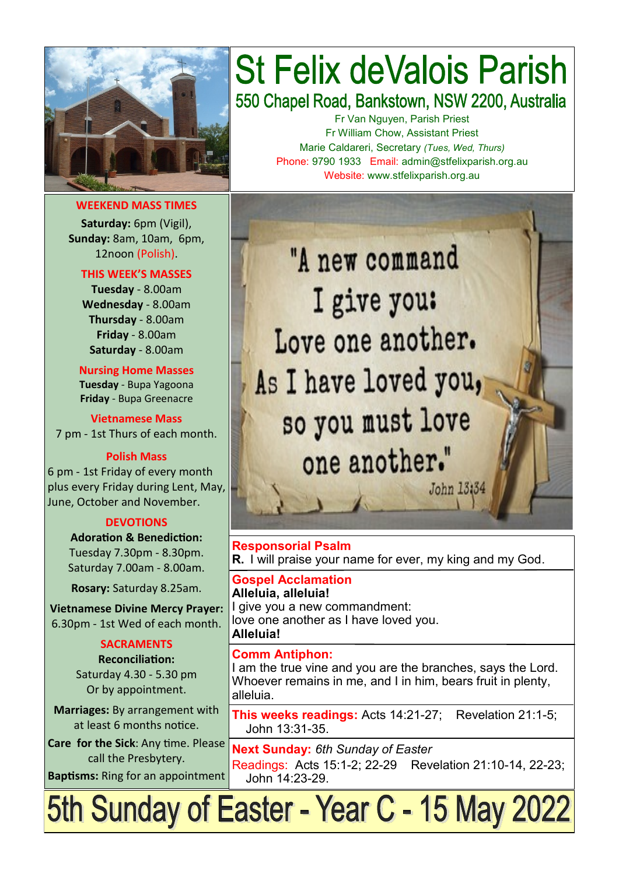

**WEEKEND MASS TIMES**

**Saturday:** 6pm (Vigil), **Sunday:** 8am, 10am, 6pm, 12noon (Polish).

**THIS WEEK'S MASSES** 

**Tuesday** - 8.00am **Wednesday** - 8.00am **Thursday** - 8.00am **Friday** - 8.00am **Saturday** - 8.00am

**Nursing Home Masses Tuesday** - Bupa Yagoona **Friday** - Bupa Greenacre

**Vietnamese Mass** 7 pm - 1st Thurs of each month.

#### **Polish Mass**

6 pm - 1st Friday of every month plus every Friday during Lent, May, June, October and November.

#### **DEVOTIONS**

**Adoration & Benediction:**  Tuesday 7.30pm - 8.30pm. Saturday 7.00am - 8.00am.

**Rosary:** Saturday 8.25am.

**Vietnamese Divine Mercy Prayer:** 6.30pm - 1st Wed of each month.

#### **SACRAMENTS**

**Reconciliation:**  Saturday 4.30 - 5.30 pm Or by appointment.

**Marriages:** By arrangement with at least 6 months notice.

**Care for the Sick**: Any time. Please call the Presbytery.

**Baptisms:** Ring for an appointment

# **St Felix deValois Parish** 550 Chapel Road, Bankstown, NSW 2200, Australia

Fr Van Nguyen, Parish Priest Fr William Chow, Assistant Priest Marie Caldareri, Secretary *(Tues, Wed, Thurs)* Phone: 9790 1933 Email: admin@stfelixparish.org.au Website: www.stfelixparish.org.au

"A new command I give you: Love one another. As I have loved you, so you must love one another." John 13:34

**Responsorial Psalm R.** I will praise your name for ever, my king and my God.

**Gospel Acclamation Alleluia, alleluia!** I give you a new commandment: love one another as I have loved you.

#### **Comm Antiphon:**

**Alleluia!**

I am the true vine and you are the branches, says the Lord. Whoever remains in me, and I in him, bears fruit in plenty, alleluia.

**This weeks readings:** Acts 14:21-27; Revelation 21:1-5; John 13:31-35.

**Next Sunday:** *6th Sunday of Easter*  Readings: Acts 15:1-2; 22-29 Revelation 21:10-14, 22-23; John 14:23-29.

5th Sunday of Easter - Year C - 15 May 2022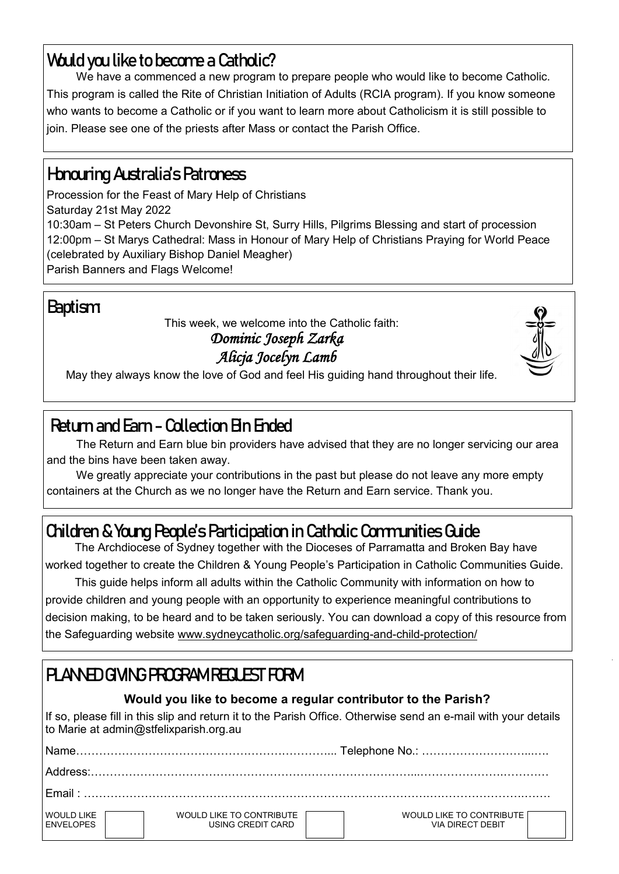# **Would you like to become a Catholic?**

We have a commenced a new program to prepare people who would like to become Catholic. This program is called the Rite of Christian Initiation of Adults (RCIA program). If you know someone who wants to become a Catholic or if you want to learn more about Catholicism it is still possible to join. Please see one of the priests after Mass or contact the Parish Office.

# **Honouring Australia's Patroness**

Procession for the Feast of Mary Help of Christians Saturday 21st May 2022 10:30am – St Peters Church Devonshire St, Surry Hills, Pilgrims Blessing and start of procession 12:00pm – St Marys Cathedral: Mass in Honour of Mary Help of Christians Praying for World Peace (celebrated by Auxiliary Bishop Daniel Meagher) Parish Banners and Flags Welcome!

# **Baptism:**

This week, we welcome into the Catholic faith:

#### *Dominic Joseph Zarka Alicja Jocelyn Lamb*



May they always know the love of God and feel His guiding hand throughout their life.

# **Return and Earn - Collection Bin Ended**

The Return and Earn blue bin providers have advised that they are no longer servicing our area and the bins have been taken away.

We greatly appreciate your contributions in the past but please do not leave any more empty containers at the Church as we no longer have the Return and Earn service. Thank you.

# **Children & Young People's Participation in Catholic Communities Guide**

The Archdiocese of Sydney together with the Dioceses of Parramatta and Broken Bay have worked together to create the Children & Young People's Participation in Catholic Communities Guide.

This guide helps inform all adults within the Catholic Community with information on how to provide children and young people with an opportunity to experience meaningful contributions to decision making, to be heard and to be taken seriously. You can download a copy of this resource from the Safeguarding website www.sydneycatholic.org/safeguarding-and-child-protection/

# **PLANNED GIVING PROGRAM REQUEST FORM**

### **Would you like to become a regular contributor to the Parish?**

If so, please fill in this slip and return it to the Parish Office. Otherwise send an e-mail with your details to Marie at admin@stfelixparish.org.au

| <b>Name</b>                            |                                               |                                                            |  |  |  |
|----------------------------------------|-----------------------------------------------|------------------------------------------------------------|--|--|--|
|                                        |                                               |                                                            |  |  |  |
| Fmail : .                              |                                               |                                                            |  |  |  |
| <b>WOULD LIKE</b><br><b>FNVFI OPFS</b> | WOULD LIKE TO CONTRIBUTE<br>USING CREDIT CARD | <b>WOULD LIKE TO CONTRIBUTE</b><br><b>VIA DIRECT DEBIT</b> |  |  |  |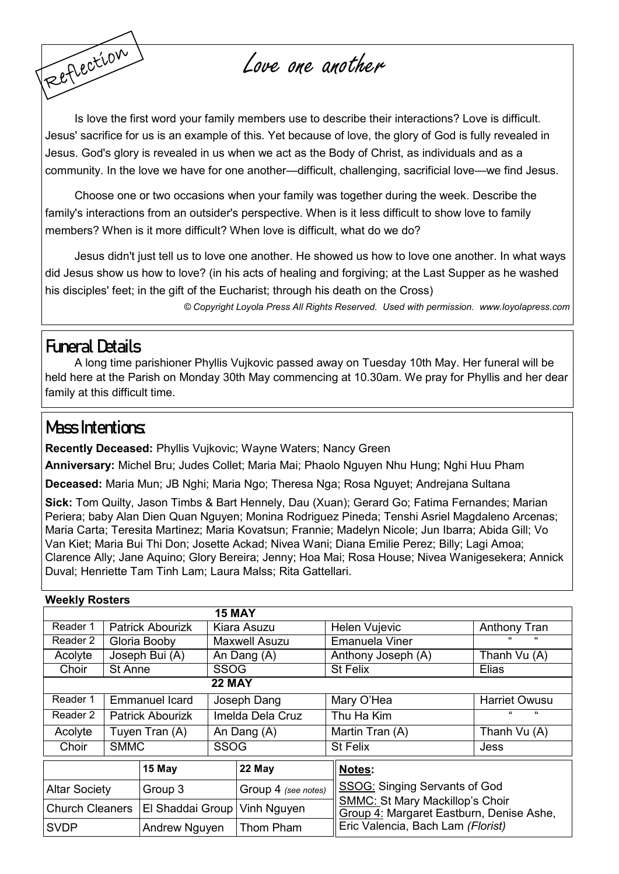Love one another

Is love the first word your family members use to describe their interactions? Love is difficult. Jesus' sacrifice for us is an example of this. Yet because of love, the glory of God is fully revealed in Jesus. God's glory is revealed in us when we act as the Body of Christ, as individuals and as a community. In the love we have for one another—difficult, challenging, sacrificial love—we find Jesus.

Choose one or two occasions when your family was together during the week. Describe the family's interactions from an outsider's perspective. When is it less difficult to show love to family members? When is it more difficult? When love is difficult, what do we do?

Jesus didn't just tell us to love one another. He showed us how to love one another. In what ways did Jesus show us how to love? (in his acts of healing and forgiving; at the Last Supper as he washed his disciples' feet; in the gift of the Eucharist; through his death on the Cross)

*© Copyright Loyola Press All Rights Reserved. Used with permission. [www.loyolapress.com](http://www.loyolapress.com)*

### **Funeral Details**

Reflection

A long time parishioner Phyllis Vujkovic passed away on Tuesday 10th May. Her funeral will be held here at the Parish on Monday 30th May commencing at 10.30am. We pray for Phyllis and her dear family at this difficult time.

### **Mass Intentions:**

**Recently Deceased:** Phyllis Vujkovic; Wayne Waters; Nancy Green

**Anniversary:** Michel Bru; Judes Collet; Maria Mai; Phaolo Nguyen Nhu Hung; Nghi Huu Pham

**Deceased:** Maria Mun; JB Nghi; Maria Ngo; Theresa Nga; Rosa Nguyet; Andrejana Sultana

**Sick:** Tom Quilty, Jason Timbs & Bart Hennely, Dau (Xuan); Gerard Go; Fatima Fernandes; Marian Periera; baby Alan Dien Quan Nguyen; Monina Rodriguez Pineda; Tenshi Asriel Magdaleno Arcenas; Maria Carta; Teresita Martinez; Maria Kovatsun; Frannie; Madelyn Nicole; Jun Ibarra; Abida Gill; Vo Van Kiet; Maria Bui Thi Don; Josette Ackad; Nivea Wani; Diana Emilie Perez; Billy; Lagi Amoa; Clarence Ally; Jane Aquino; Glory Bereira; Jenny; Hoa Mai; Rosa House; Nivea Wanigesekera; Annick Duval; Henriette Tam Tinh Lam; Laura Malss; Rita Gattellari.

| <b>Weekly Rosters</b>  |                |                                |                      |                     |  |                                                                                    |                          |  |  |
|------------------------|----------------|--------------------------------|----------------------|---------------------|--|------------------------------------------------------------------------------------|--------------------------|--|--|
|                        |                |                                | <b>15 MAY</b>        |                     |  |                                                                                    |                          |  |  |
| Reader 1               |                | <b>Patrick Abourizk</b>        | Kiara Asuzu          |                     |  | Helen Vujevic                                                                      | Anthony Tran             |  |  |
| Reader 2               |                | Gloria Booby                   | <b>Maxwell Asuzu</b> |                     |  | <b>Emanuela Viner</b>                                                              |                          |  |  |
| Acolyte                |                | Joseph Bui (A)                 | An Dang (A)          |                     |  | Anthony Joseph (A)                                                                 | Thanh Vu (A)             |  |  |
| Choir                  | St Anne        |                                | <b>SSOG</b>          |                     |  | <b>St Felix</b>                                                                    | Elias                    |  |  |
| <b>22 MAY</b>          |                |                                |                      |                     |  |                                                                                    |                          |  |  |
| Reader 1               | Emmanuel Icard |                                | Joseph Dang          |                     |  | Mary O'Hea                                                                         | <b>Harriet Owusu</b>     |  |  |
| Reader 2               |                | <b>Patrick Abourizk</b>        |                      | Imelda Dela Cruz    |  | Thu Ha Kim                                                                         | $\epsilon$<br>$\epsilon$ |  |  |
| Acolyte                | Tuyen Tran (A) |                                | An Dang (A)          |                     |  | Martin Tran (A)                                                                    | Thanh Vu (A)             |  |  |
| Choir                  | <b>SMMC</b>    |                                | <b>SSOG</b>          |                     |  | <b>St Felix</b>                                                                    | Jess                     |  |  |
|                        |                | 15 May                         |                      | 22 May              |  | Notes:                                                                             |                          |  |  |
| <b>Altar Society</b>   |                | Group 3                        |                      | Group 4 (see notes) |  | <b>SSOG: Singing Servants of God</b>                                               |                          |  |  |
| <b>Church Cleaners</b> |                | El Shaddai Group   Vinh Nguyen |                      |                     |  | <b>SMMC: St Mary Mackillop's Choir</b><br>Group 4: Margaret Eastburn, Denise Ashe, |                          |  |  |
| <b>SVDP</b>            |                | Andrew Nguyen                  |                      | Thom Pham           |  | Eric Valencia, Bach Lam (Florist)                                                  |                          |  |  |